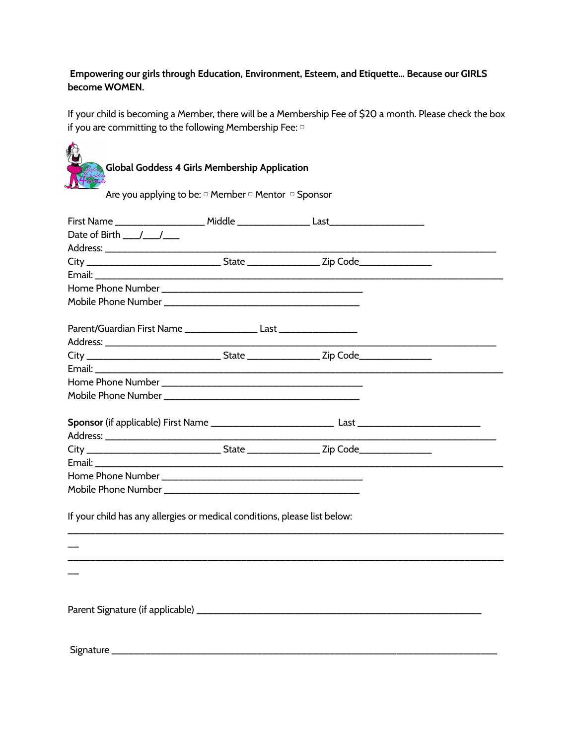# **Empowering our girls through Education, Environment, Esteem, and Etiquette… Because our GIRLS become WOMEN.**

If your child is becoming a Member, there will be a Membership Fee of \$20 a month. Please check the box if you are committing to the following Membership Fee: o

| <b>Global Goddess 4 Girls Membership Application</b><br>Are you applying to be: $\circ$ Member $\circ$ Mentor $\circ$ Sponsor |  |  |  |
|-------------------------------------------------------------------------------------------------------------------------------|--|--|--|
|                                                                                                                               |  |  |  |
| Date of Birth $y = 1/2$                                                                                                       |  |  |  |
| City _________________________________State _____________________Zip Code___________________________                          |  |  |  |
|                                                                                                                               |  |  |  |
|                                                                                                                               |  |  |  |
|                                                                                                                               |  |  |  |
| Parent/Guardian First Name _________________ Last _________________                                                           |  |  |  |
|                                                                                                                               |  |  |  |
| City _______________________________State ______________________Zip Code____________________________                          |  |  |  |
|                                                                                                                               |  |  |  |
|                                                                                                                               |  |  |  |
|                                                                                                                               |  |  |  |
|                                                                                                                               |  |  |  |
| City ______________________________State ___________________Zip Code_____________                                             |  |  |  |
|                                                                                                                               |  |  |  |
|                                                                                                                               |  |  |  |
|                                                                                                                               |  |  |  |
| If your child has any allergies or medical conditions, please list below:                                                     |  |  |  |
|                                                                                                                               |  |  |  |
|                                                                                                                               |  |  |  |
|                                                                                                                               |  |  |  |
|                                                                                                                               |  |  |  |
|                                                                                                                               |  |  |  |